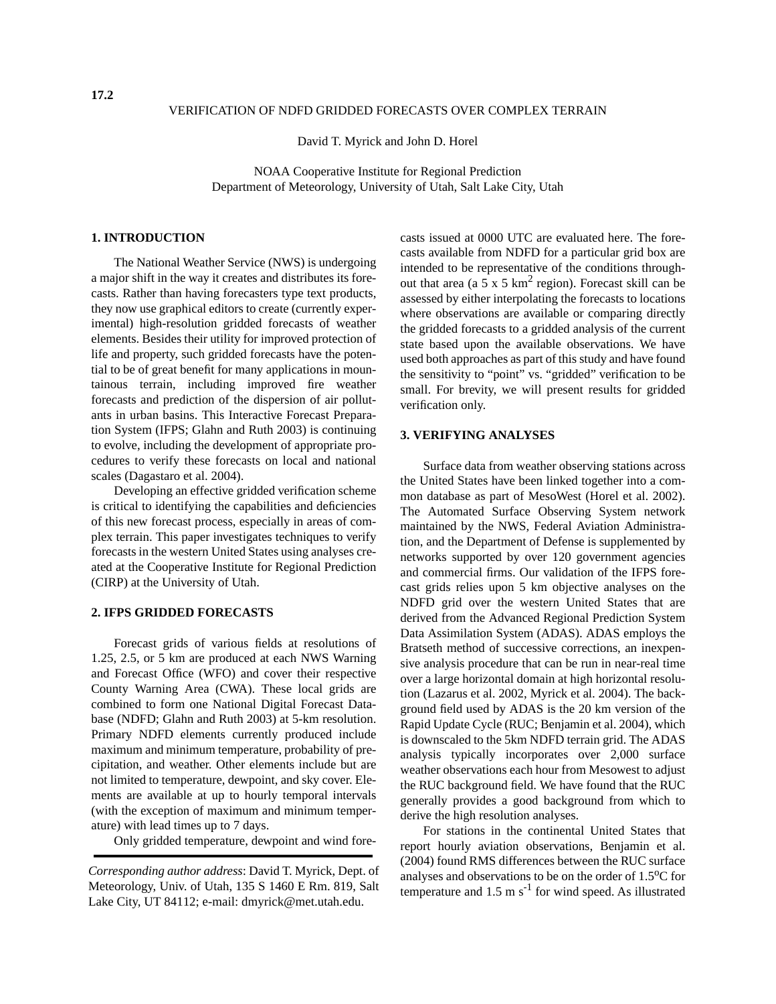#### VERIFICATION OF NDFD GRIDDED FORECASTS OVER COMPLEX TERRAIN

David T. Myrick and John D. Horel

NOAA Cooperative Institute for Regional Prediction Department of Meteorology, University of Utah, Salt Lake City, Utah

### **1. INTRODUCTION**

The National Weather Service (NWS) is undergoing a major shift in the way it creates and distributes its forecasts. Rather than having forecasters type text products, they now use graphical editors to create (currently experimental) high-resolution gridded forecasts of weather elements. Besides their utility for improved protection of life and property, such gridded forecasts have the potential to be of great benefit for many applications in mountainous terrain, including improved fire weather forecasts and prediction of the dispersion of air pollutants in urban basins. This Interactive Forecast Preparation System (IFPS; Glahn and Ruth 2003) is continuing to evolve, including the development of appropriate procedures to verify these forecasts on local and national scales (Dagastaro et al. 2004).

Developing an effective gridded verification scheme is critical to identifying the capabilities and deficiencies of this new forecast process, especially in areas of complex terrain. This paper investigates techniques to verify forecasts in the western United States using analyses created at the Cooperative Institute for Regional Prediction (CIRP) at the University of Utah.

# **2. IFPS GRIDDED FORECASTS**

Forecast grids of various fields at resolutions of 1.25, 2.5, or 5 km are produced at each NWS Warning and Forecast Office (WFO) and cover their respective County Warning Area (CWA). These local grids are combined to form one National Digital Forecast Database (NDFD; Glahn and Ruth 2003) at 5-km resolution. Primary NDFD elements currently produced include maximum and minimum temperature, probability of precipitation, and weather. Other elements include but are not limited to temperature, dewpoint, and sky cover. Elements are available at up to hourly temporal intervals (with the exception of maximum and minimum temperature) with lead times up to 7 days.

Only gridded temperature, dewpoint and wind fore-

casts issued at 0000 UTC are evaluated here. The forecasts available from NDFD for a particular grid box are intended to be representative of the conditions throughout that area (a  $5 \times 5 \text{ km}^2$  region). Forecast skill can be assessed by either interpolating the forecasts to locations where observations are available or comparing directly the gridded forecasts to a gridded analysis of the current state based upon the available observations. We have used both approaches as part of this study and have found the sensitivity to "point" vs. "gridded" verification to be small. For brevity, we will present results for gridded verification only.

#### **3. VERIFYING ANALYSES**

Surface data from weather observing stations across the United States have been linked together into a common database as part of MesoWest (Horel et al. 2002). The Automated Surface Observing System network maintained by the NWS, Federal Aviation Administration, and the Department of Defense is supplemented by networks supported by over 120 government agencies and commercial firms. Our validation of the IFPS forecast grids relies upon 5 km objective analyses on the NDFD grid over the western United States that are derived from the Advanced Regional Prediction System Data Assimilation System (ADAS). ADAS employs the Bratseth method of successive corrections, an inexpensive analysis procedure that can be run in near-real time over a large horizontal domain at high horizontal resolution (Lazarus et al. 2002, Myrick et al. 2004). The background field used by ADAS is the 20 km version of the Rapid Update Cycle (RUC; Benjamin et al. 2004), which is downscaled to the 5km NDFD terrain grid. The ADAS analysis typically incorporates over 2,000 surface weather observations each hour from Mesowest to adjust the RUC background field. We have found that the RUC generally provides a good background from which to derive the high resolution analyses.

For stations in the continental United States that report hourly aviation observations, Benjamin et al. (2004) found RMS differences between the RUC surface analyses and observations to be on the order of  $1.5^{\circ}$ C for temperature and  $1.5 \text{ m s}^{-1}$  for wind speed. As illustrated

*Corresponding author address*: David T. Myrick, Dept. of Meteorology, Univ. of Utah, 135 S 1460 E Rm. 819, Salt Lake City, UT 84112; e-mail: dmyrick@met.utah.edu.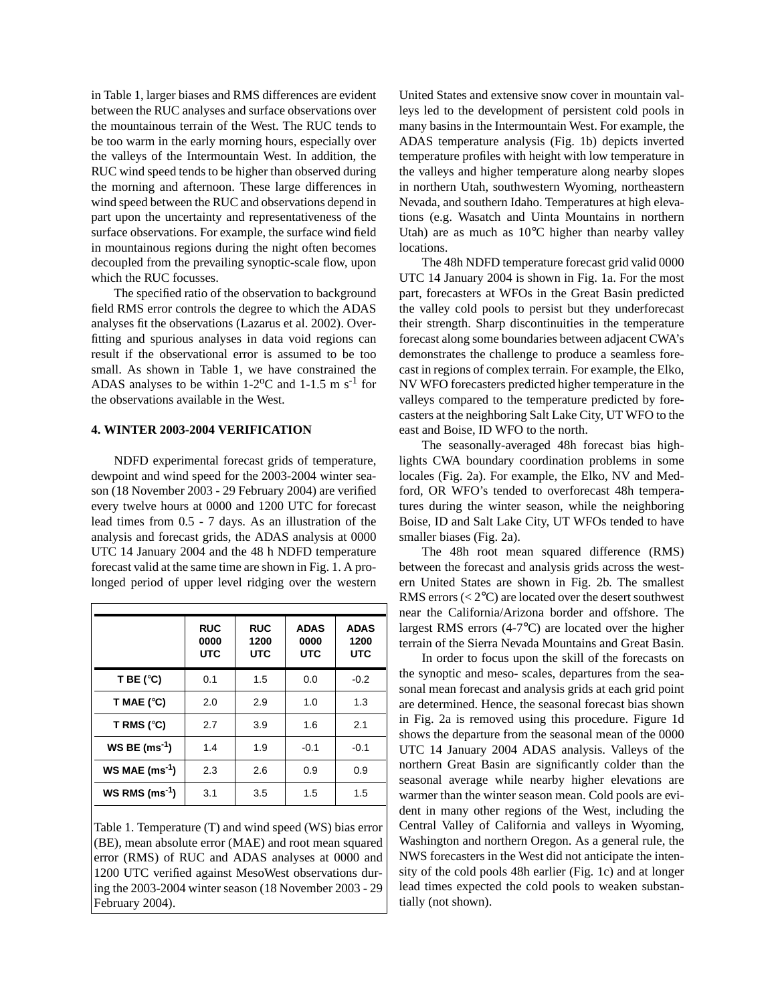in Table 1, larger biases and RMS differences are evident between the RUC analyses and surface observations over the mountainous terrain of the West. The RUC tends to be too warm in the early morning hours, especially over the valleys of the Intermountain West. In addition, the RUC wind speed tends to be higher than observed during the morning and afternoon. These large differences in wind speed between the RUC and observations depend in part upon the uncertainty and representativeness of the surface observations. For example, the surface wind field in mountainous regions during the night often becomes decoupled from the prevailing synoptic-scale flow, upon which the RUC focusses.

The specified ratio of the observation to background field RMS error controls the degree to which the ADAS analyses fit the observations (Lazarus et al. 2002). Overfitting and spurious analyses in data void regions can result if the observational error is assumed to be too small. As shown in Table 1, we have constrained the ADAS analyses to be within  $1\text{-}2^{\circ}\text{C}$  and  $1\text{-}1.5$  m s<sup>-1</sup> for the observations available in the West.

### **4. WINTER 2003-2004 VERIFICATION**

NDFD experimental forecast grids of temperature, dewpoint and wind speed for the 2003-2004 winter season (18 November 2003 - 29 February 2004) are verified every twelve hours at 0000 and 1200 UTC for forecast lead times from 0.5 - 7 days. As an illustration of the analysis and forecast grids, the ADAS analysis at 0000 UTC 14 January 2004 and the 48 h NDFD temperature forecast valid at the same time are shown in Fig. 1. A prolonged period of upper level ridging over the western

| <b>RUC</b><br>0000<br><b>UTC</b> | <b>RUC</b><br>1200<br><b>UTC</b> | <b>ADAS</b><br>0000<br><b>UTC</b> | <b>ADAS</b><br>1200<br><b>UTC</b> |
|----------------------------------|----------------------------------|-----------------------------------|-----------------------------------|
| 0.1                              | 1.5                              | 0.0                               | $-0.2$                            |
| 2.0                              | 2.9                              | 1.0                               | 1.3                               |
| 2.7                              | 3.9                              | 1.6                               | 2.1                               |
| 1.4                              | 1.9                              | $-0.1$                            | $-0.1$                            |
| 2.3                              | 2.6                              | 0.9                               | 0.9                               |
| 3.1                              | 3.5                              | 1.5                               | 1.5                               |
|                                  |                                  |                                   |                                   |

Table 1. Temperature (T) and wind speed (WS) bias error (BE), mean absolute error (MAE) and root mean squared error (RMS) of RUC and ADAS analyses at 0000 and 1200 UTC verified against MesoWest observations during the 2003-2004 winter season (18 November 2003 - 29 February 2004).

United States and extensive snow cover in mountain valleys led to the development of persistent cold pools in many basins in the Intermountain West. For example, the ADAS temperature analysis (Fig. 1b) depicts inverted temperature profiles with height with low temperature in the valleys and higher temperature along nearby slopes in northern Utah, southwestern Wyoming, northeastern Nevada, and southern Idaho. Temperatures at high elevations (e.g. Wasatch and Uinta Mountains in northern Utah) are as much as 10°C higher than nearby valley locations.

The 48h NDFD temperature forecast grid valid 0000 UTC 14 January 2004 is shown in Fig. 1a. For the most part, forecasters at WFOs in the Great Basin predicted the valley cold pools to persist but they underforecast their strength. Sharp discontinuities in the temperature forecast along some boundaries between adjacent CWA's demonstrates the challenge to produce a seamless forecast in regions of complex terrain. For example, the Elko, NV WFO forecasters predicted higher temperature in the valleys compared to the temperature predicted by forecasters at the neighboring Salt Lake City, UT WFO to the east and Boise, ID WFO to the north.

The seasonally-averaged 48h forecast bias highlights CWA boundary coordination problems in some locales (Fig. 2a). For example, the Elko, NV and Medford, OR WFO's tended to overforecast 48h temperatures during the winter season, while the neighboring Boise, ID and Salt Lake City, UT WFOs tended to have smaller biases (Fig. 2a).

The 48h root mean squared difference (RMS) between the forecast and analysis grids across the western United States are shown in Fig. 2b. The smallest RMS errors  $( $2^{\circ}$ C)$  are located over the desert southwest near the California/Arizona border and offshore. The largest RMS errors (4-7°C) are located over the higher terrain of the Sierra Nevada Mountains and Great Basin.

In order to focus upon the skill of the forecasts on the synoptic and meso- scales, departures from the seasonal mean forecast and analysis grids at each grid point are determined. Hence, the seasonal forecast bias shown in Fig. 2a is removed using this procedure. Figure 1d shows the departure from the seasonal mean of the 0000 UTC 14 January 2004 ADAS analysis. Valleys of the northern Great Basin are significantly colder than the seasonal average while nearby higher elevations are warmer than the winter season mean. Cold pools are evident in many other regions of the West, including the Central Valley of California and valleys in Wyoming, Washington and northern Oregon. As a general rule, the NWS forecasters in the West did not anticipate the intensity of the cold pools 48h earlier (Fig. 1c) and at longer lead times expected the cold pools to weaken substantially (not shown).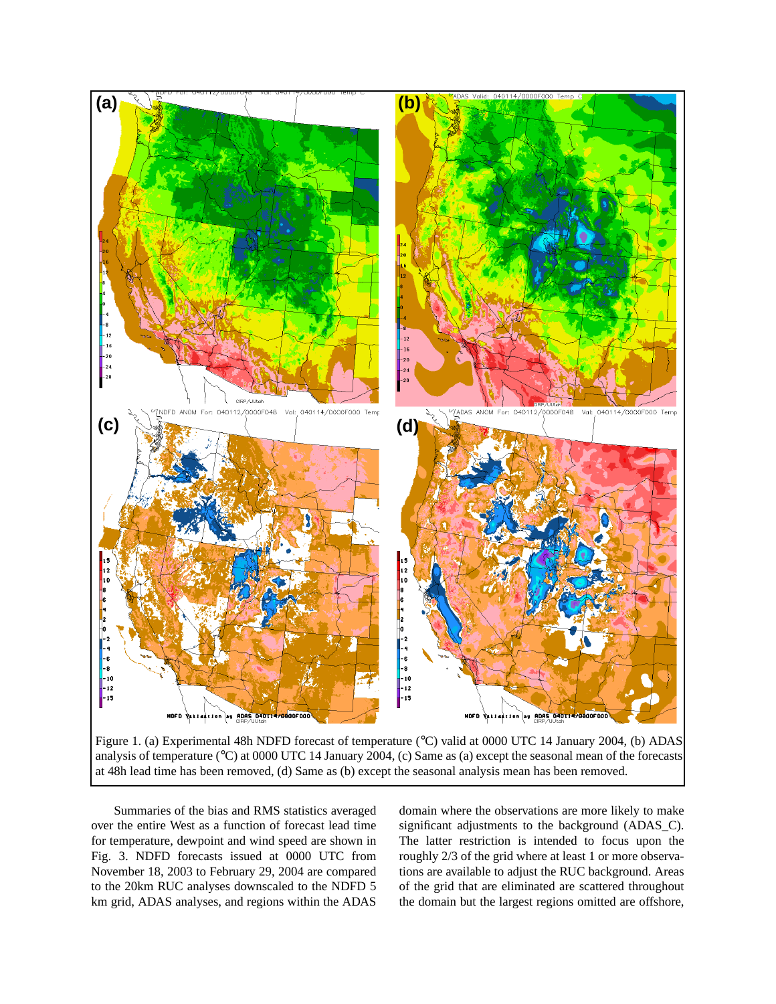

Figure 1. (a) Experimental 48h NDFD forecast of temperature (°C) valid at 0000 UTC 14 January 2004, (b) ADAS analysis of temperature (°C) at 0000 UTC 14 January 2004, (c) Same as (a) except the seasonal mean of the forecasts at 48h lead time has been removed, (d) Same as (b) except the seasonal analysis mean has been removed.

Summaries of the bias and RMS statistics averaged over the entire West as a function of forecast lead time for temperature, dewpoint and wind speed are shown in Fig. 3. NDFD forecasts issued at 0000 UTC from November 18, 2003 to February 29, 2004 are compared to the 20km RUC analyses downscaled to the NDFD 5 km grid, ADAS analyses, and regions within the ADAS

domain where the observations are more likely to make significant adjustments to the background (ADAS\_C). The latter restriction is intended to focus upon the roughly 2/3 of the grid where at least 1 or more observations are available to adjust the RUC background. Areas of the grid that are eliminated are scattered throughout the domain but the largest regions omitted are offshore,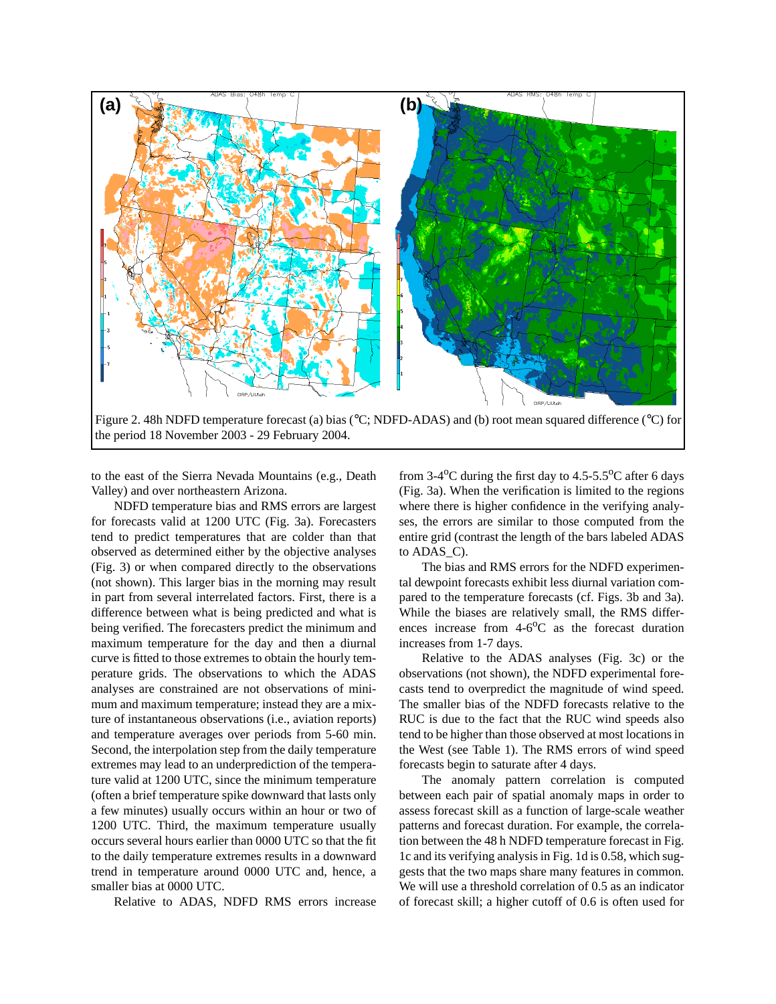

to the east of the Sierra Nevada Mountains (e.g., Death Valley) and over northeastern Arizona.

NDFD temperature bias and RMS errors are largest for forecasts valid at 1200 UTC (Fig. 3a). Forecasters tend to predict temperatures that are colder than that observed as determined either by the objective analyses (Fig. 3) or when compared directly to the observations (not shown). This larger bias in the morning may result in part from several interrelated factors. First, there is a difference between what is being predicted and what is being verified. The forecasters predict the minimum and maximum temperature for the day and then a diurnal curve is fitted to those extremes to obtain the hourly temperature grids. The observations to which the ADAS analyses are constrained are not observations of minimum and maximum temperature; instead they are a mixture of instantaneous observations (i.e., aviation reports) and temperature averages over periods from 5-60 min. Second, the interpolation step from the daily temperature extremes may lead to an underprediction of the temperature valid at 1200 UTC, since the minimum temperature (often a brief temperature spike downward that lasts only a few minutes) usually occurs within an hour or two of 1200 UTC. Third, the maximum temperature usually occurs several hours earlier than 0000 UTC so that the fit to the daily temperature extremes results in a downward trend in temperature around 0000 UTC and, hence, a smaller bias at 0000 UTC.

Relative to ADAS, NDFD RMS errors increase

from  $3-4$ <sup>o</sup>C during the first day to  $4.5$ -5.5<sup>o</sup>C after 6 days (Fig. 3a). When the verification is limited to the regions where there is higher confidence in the verifying analyses, the errors are similar to those computed from the entire grid (contrast the length of the bars labeled ADAS to ADAS\_C).

The bias and RMS errors for the NDFD experimental dewpoint forecasts exhibit less diurnal variation compared to the temperature forecasts (cf. Figs. 3b and 3a). While the biases are relatively small, the RMS differences increase from  $4-6^{\circ}$ C as the forecast duration increases from 1-7 days.

Relative to the ADAS analyses (Fig. 3c) or the observations (not shown), the NDFD experimental forecasts tend to overpredict the magnitude of wind speed. The smaller bias of the NDFD forecasts relative to the RUC is due to the fact that the RUC wind speeds also tend to be higher than those observed at most locations in the West (see Table 1). The RMS errors of wind speed forecasts begin to saturate after 4 days.

The anomaly pattern correlation is computed between each pair of spatial anomaly maps in order to assess forecast skill as a function of large-scale weather patterns and forecast duration. For example, the correlation between the 48 h NDFD temperature forecast in Fig. 1c and its verifying analysis in Fig. 1d is 0.58, which suggests that the two maps share many features in common. We will use a threshold correlation of 0.5 as an indicator of forecast skill; a higher cutoff of 0.6 is often used for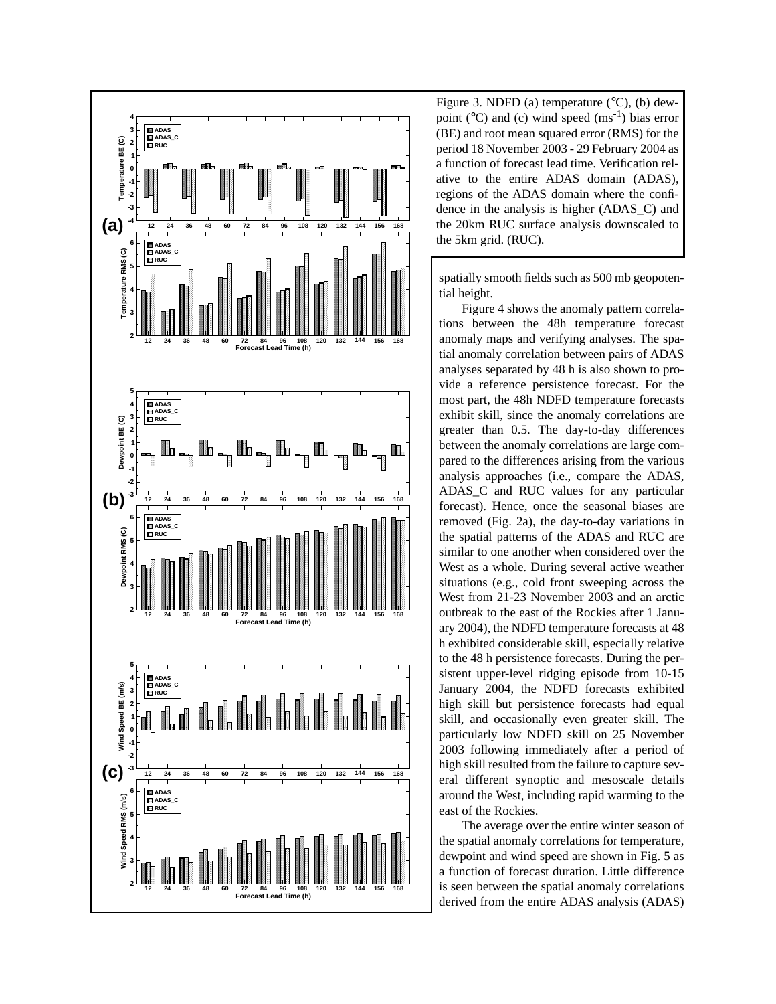

Figure 3. NDFD (a) temperature  $(^{\circ}C)$ , (b) dewpoint ( $^{\circ}$ C) and (c) wind speed (ms<sup>-1</sup>) bias error (BE) and root mean squared error (RMS) for the period 18 November 2003 - 29 February 2004 as a function of forecast lead time. Verification relative to the entire ADAS domain (ADAS), regions of the ADAS domain where the confidence in the analysis is higher (ADAS\_C) and the 20km RUC surface analysis downscaled to the 5km grid. (RUC).

spatially smooth fields such as 500 mb geopotential height.

Figure 4 shows the anomaly pattern correlations between the 48h temperature forecast anomaly maps and verifying analyses. The spatial anomaly correlation between pairs of ADAS analyses separated by 48 h is also shown to provide a reference persistence forecast. For the most part, the 48h NDFD temperature forecasts exhibit skill, since the anomaly correlations are greater than 0.5. The day-to-day differences between the anomaly correlations are large compared to the differences arising from the various analysis approaches (i.e., compare the ADAS, ADAS\_C and RUC values for any particular forecast). Hence, once the seasonal biases are removed (Fig. 2a), the day-to-day variations in the spatial patterns of the ADAS and RUC are similar to one another when considered over the West as a whole. During several active weather situations (e.g., cold front sweeping across the West from 21-23 November 2003 and an arctic outbreak to the east of the Rockies after 1 January 2004), the NDFD temperature forecasts at 48 h exhibited considerable skill, especially relative to the 48 h persistence forecasts. During the persistent upper-level ridging episode from 10-15 January 2004, the NDFD forecasts exhibited high skill but persistence forecasts had equal skill, and occasionally even greater skill. The particularly low NDFD skill on 25 November 2003 following immediately after a period of high skill resulted from the failure to capture several different synoptic and mesoscale details around the West, including rapid warming to the east of the Rockies.

The average over the entire winter season of the spatial anomaly correlations for temperature, dewpoint and wind speed are shown in Fig. 5 as a function of forecast duration. Little difference is seen between the spatial anomaly correlations derived from the entire ADAS analysis (ADAS)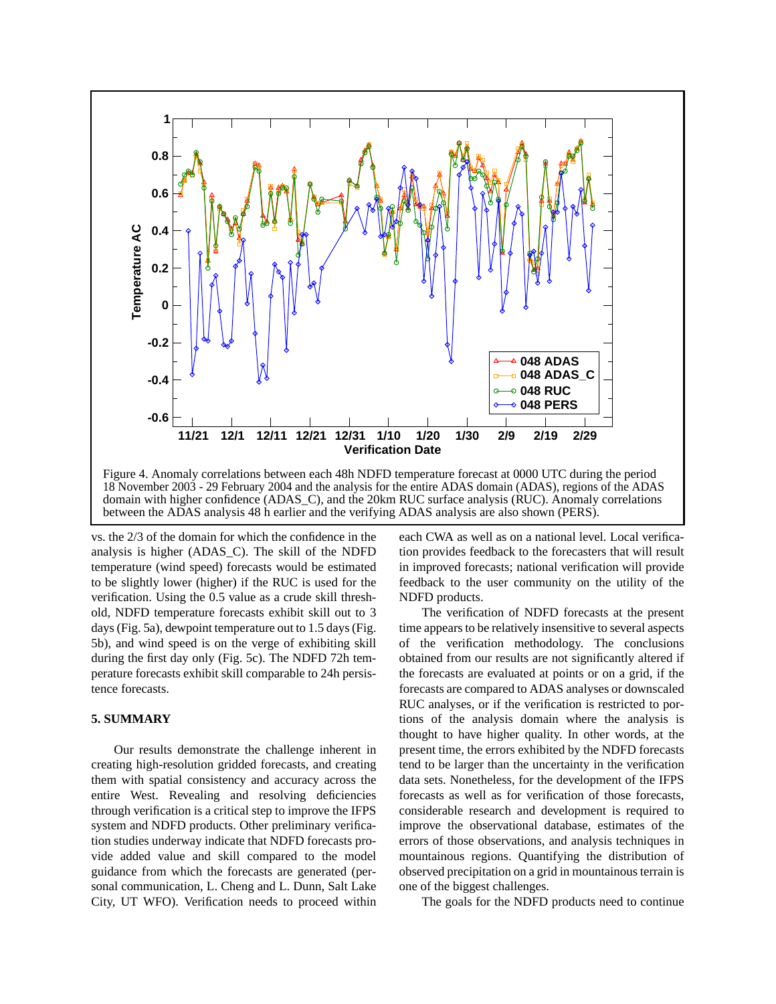

vs. the 2/3 of the domain for which the confidence in the analysis is higher (ADAS\_C). The skill of the NDFD temperature (wind speed) forecasts would be estimated to be slightly lower (higher) if the RUC is used for the verification. Using the 0.5 value as a crude skill threshold, NDFD temperature forecasts exhibit skill out to 3 days (Fig. 5a), dewpoint temperature out to 1.5 days (Fig. 5b), and wind speed is on the verge of exhibiting skill during the first day only (Fig. 5c). The NDFD 72h temperature forecasts exhibit skill comparable to 24h persistence forecasts.

# **5. SUMMARY**

Our results demonstrate the challenge inherent in creating high-resolution gridded forecasts, and creating them with spatial consistency and accuracy across the entire West. Revealing and resolving deficiencies through verification is a critical step to improve the IFPS system and NDFD products. Other preliminary verification studies underway indicate that NDFD forecasts provide added value and skill compared to the model guidance from which the forecasts are generated (personal communication, L. Cheng and L. Dunn, Salt Lake City, UT WFO). Verification needs to proceed within each CWA as well as on a national level. Local verification provides feedback to the forecasters that will result in improved forecasts; national verification will provide feedback to the user community on the utility of the NDFD products.

The verification of NDFD forecasts at the present time appears to be relatively insensitive to several aspects of the verification methodology. The conclusions obtained from our results are not significantly altered if the forecasts are evaluated at points or on a grid, if the forecasts are compared to ADAS analyses or downscaled RUC analyses, or if the verification is restricted to portions of the analysis domain where the analysis is thought to have higher quality. In other words, at the present time, the errors exhibited by the NDFD forecasts tend to be larger than the uncertainty in the verification data sets. Nonetheless, for the development of the IFPS forecasts as well as for verification of those forecasts, considerable research and development is required to improve the observational database, estimates of the errors of those observations, and analysis techniques in mountainous regions. Quantifying the distribution of observed precipitation on a grid in mountainous terrain is one of the biggest challenges.

The goals for the NDFD products need to continue